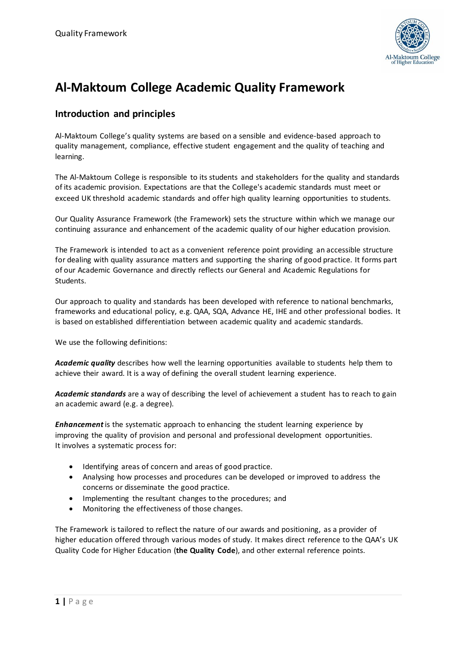

# **Al-Maktoum College Academic Quality Framework**

## **Introduction and principles**

Al-Maktoum College's quality systems are based on a sensible and evidence-based approach to quality management, compliance, effective student engagement and the quality of teaching and learning.

The Al-Maktoum College is responsible to its students and stakeholders for the quality and standards of its academic provision. Expectations are that the College's academic standards must meet or exceed UK threshold academic standards and offer high quality learning opportunities to students.

Our Quality Assurance Framework (the Framework) sets the structure within which we manage our continuing assurance and enhancement of the academic quality of our higher education provision.

The Framework is intended to act as a convenient reference point providing an accessible structure for dealing with quality assurance matters and supporting the sharing of good practice. It forms part of our Academic Governance and directly reflects our General and Academic Regulations for Students.

Our approach to quality and standards has been developed with reference to national benchmarks, frameworks and educational policy, e.g. QAA, SQA, Advance HE, IHE and other professional bodies. It is based on established differentiation between academic quality and academic standards.

We use the following definitions:

*Academic quality* describes how well the learning opportunities available to students help them to achieve their award. It is a way of defining the overall student learning experience.

*Academic standards* are a way of describing the level of achievement a student has to reach to gain an academic award (e.g. a degree).

*Enhancement*is the systematic approach to enhancing the student learning experience by improving the quality of provision and personal and professional development opportunities. It involves a systematic process for:

- Identifying areas of concern and areas of good practice.
- Analysing how processes and procedures can be developed or improved to address the concerns or disseminate the good practice.
- Implementing the resultant changes to the procedures; and
- Monitoring the effectiveness of those changes.

The Framework is tailored to reflect the nature of our awards and positioning, as a provider of higher education offered through various modes of study. It makes direct reference to the QAA's UK Quality Code for Higher Education (**the Quality Code**), and other external reference points.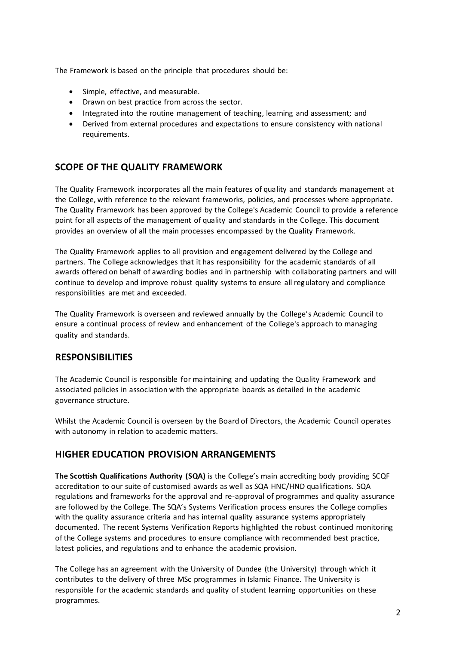The Framework is based on the principle that procedures should be:

- Simple, effective, and measurable.
- Drawn on best practice from across the sector.
- Integrated into the routine management of teaching, learning and assessment; and
- Derived from external procedures and expectations to ensure consistency with national requirements.

### **SCOPE OF THE QUALITY FRAMEWORK**

The Quality Framework incorporates all the main features of quality and standards management at the College, with reference to the relevant frameworks, policies, and processes where appropriate. The Quality Framework has been approved by the College's Academic Council to provide a reference point for all aspects of the management of quality and standards in the College. This document provides an overview of all the main processes encompassed by the Quality Framework.

The Quality Framework applies to all provision and engagement delivered by the College and partners. The College acknowledges that it has responsibility for the academic standards of all awards offered on behalf of awarding bodies and in partnership with collaborating partners and will continue to develop and improve robust quality systems to ensure all regulatory and compliance responsibilities are met and exceeded.

The Quality Framework is overseen and reviewed annually by the College's Academic Council to ensure a continual process of review and enhancement of the College's approach to managing quality and standards.

### **RESPONSIBILITIES**

The Academic Council is responsible for maintaining and updating the Quality Framework and associated policies in association with the appropriate boards as detailed in the academic governance structure.

Whilst the Academic Council is overseen by the Board of Directors, the Academic Council operates with autonomy in relation to academic matters.

### **HIGHER EDUCATION PROVISION ARRANGEMENTS**

**The Scottish Qualifications Authority (SQA)** is the College's main accrediting body providing SCQF accreditation to our suite of customised awards as well as SQA HNC/HND qualifications. SQA regulations and frameworks for the approval and re-approval of programmes and quality assurance are followed by the College. The SQA's Systems Verification process ensures the College complies with the quality assurance criteria and has internal quality assurance systems appropriately documented. The recent Systems Verification Reports highlighted the robust continued monitoring of the College systems and procedures to ensure compliance with recommended best practice, latest policies, and regulations and to enhance the academic provision.

The College has an agreement with the University of Dundee (the University) through which it contributes to the delivery of three MSc programmes in Islamic Finance. The University is responsible for the academic standards and quality of student learning opportunities on these programmes.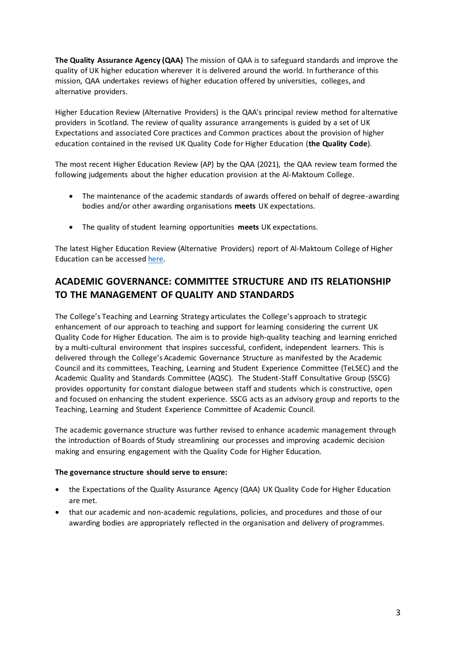**The Quality Assurance Agency (QAA)** The mission of QAA is to safeguard standards and improve the quality of UK higher education wherever it is delivered around the world. In furtherance of this mission, QAA undertakes reviews of higher education offered by universities, colleges, and alternative providers.

Higher Education Review (Alternative Providers) is the QAA's principal review method for alternative providers in Scotland. The review of quality assurance arrangements is guided by a set of UK Expectations and associated Core practices and Common practices about the provision of higher education contained in the revised UK Quality Code for Higher Education (**the Quality Code**).

The most recent Higher Education Review (AP) by the QAA (2021), the QAA review team formed the following judgements about the higher education provision at the Al-Maktoum College.

- The maintenance of the academic standards of awards offered on behalf of degree-awarding bodies and/or other awarding organisations **meets** UK expectations.
- The quality of student learning opportunities **meets** UK expectations.

The latest Higher Education Review (Alternative Providers) report of Al-Maktoum College of Higher Education can be accesse[d here.](https://www.qaa.ac.uk/reviewing-higher-education/quality-assurance-reports/Al-Maktoum-College-of-Higher-Education)

## **ACADEMIC GOVERNANCE: COMMITTEE STRUCTURE AND ITS RELATIONSHIP TO THE MANAGEMENT OF QUALITY AND STANDARDS**

The College's Teaching and Learning Strategy articulates the College's approach to strategic enhancement of our approach to teaching and support for learning considering the current UK Quality Code for Higher Education. The aim is to provide high-quality teaching and learning enriched by a multi-cultural environment that inspires successful, confident, independent learners. This is delivered through the College's Academic Governance Structure as manifested by the Academic Council and its committees, Teaching, Learning and Student Experience Committee (TeLSEC) and the Academic Quality and Standards Committee (AQSC). The Student-Staff Consultative Group (SSCG) provides opportunity for constant dialogue between staff and students which is constructive, open and focused on enhancing the student experience. SSCG acts as an advisory group and reports to the Teaching, Learning and Student Experience Committee of Academic Council.

The academic governance structure was further revised to enhance academic management through the introduction of Boards of Study streamlining our processes and improving academic decision making and ensuring engagement with the Quality Code for Higher Education.

#### **The governance structure should serve to ensure:**

- the Expectations of the Quality Assurance Agency (QAA) UK Quality Code for Higher Education are met.
- that our academic and non-academic regulations, policies, and procedures and those of our awarding bodies are appropriately reflected in the organisation and delivery of programmes.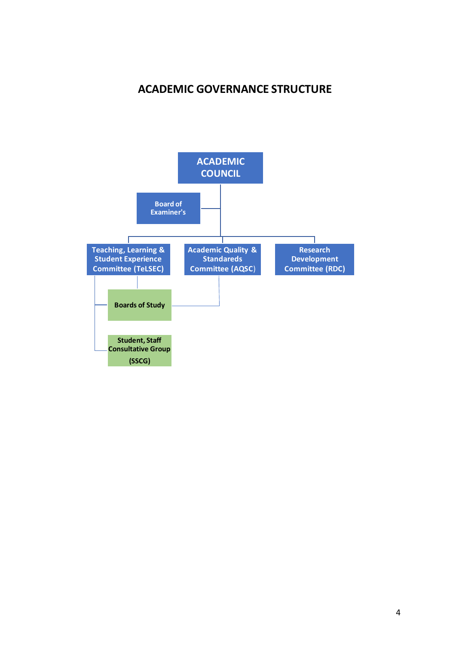## **ACADEMIC GOVERNANCE STRUCTURE**

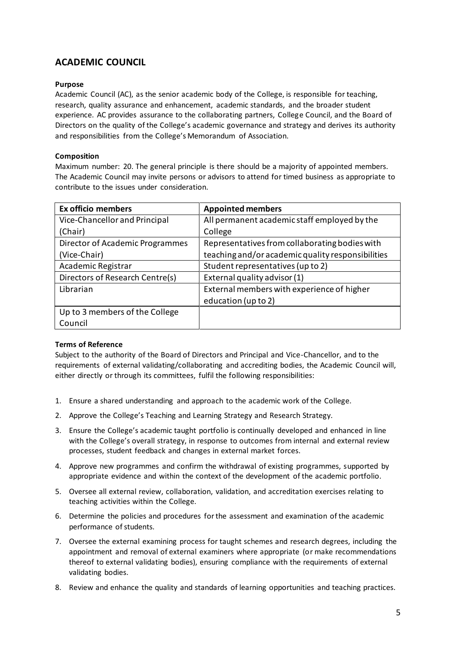## **ACADEMIC COUNCIL**

#### **Purpose**

Academic Council (AC), as the senior academic body of the College, is responsible for teaching, research, quality assurance and enhancement, academic standards, and the broader student experience. AC provides assurance to the collaborating partners, College Council, and the Board of Directors on the quality of the College's academic governance and strategy and derives its authority and responsibilities from the College's Memorandum of Association.

#### **Composition**

Maximum number: 20. The general principle is there should be a majority of appointed members. The Academic Council may invite persons or advisors to attend for timed business as appropriate to contribute to the issues under consideration.

| <b>Ex officio members</b>       | <b>Appointed members</b>                          |
|---------------------------------|---------------------------------------------------|
| Vice-Chancellor and Principal   | All permanent academic staff employed by the      |
| (Chair)                         | College                                           |
| Director of Academic Programmes | Representatives from collaborating bodies with    |
| (Vice-Chair)                    | teaching and/or academic quality responsibilities |
| Academic Registrar              | Student representatives (up to 2)                 |
| Directors of Research Centre(s) | External quality advisor (1)                      |
| Librarian                       | External members with experience of higher        |
|                                 | education (up to 2)                               |
| Up to 3 members of the College  |                                                   |
| Council                         |                                                   |

#### **Terms of Reference**

Subject to the authority of the Board of Directors and Principal and Vice-Chancellor, and to the requirements of external validating/collaborating and accrediting bodies, the Academic Council will, either directly or through its committees, fulfil the following responsibilities:

- 1. Ensure a shared understanding and approach to the academic work of the College.
- 2. Approve the College's Teaching and Learning Strategy and Research Strategy.
- 3. Ensure the College's academic taught portfolio is continually developed and enhanced in line with the College's overall strategy, in response to outcomes from internal and external review processes, student feedback and changes in external market forces.
- 4. Approve new programmes and confirm the withdrawal of existing programmes, supported by appropriate evidence and within the context of the development of the academic portfolio.
- 5. Oversee all external review, collaboration, validation, and accreditation exercises relating to teaching activities within the College.
- 6. Determine the policies and procedures for the assessment and examination of the academic performance of students.
- 7. Oversee the external examining process for taught schemes and research degrees, including the appointment and removal of external examiners where appropriate (or make recommendations thereof to external validating bodies), ensuring compliance with the requirements of external validating bodies.
- 8. Review and enhance the quality and standards of learning opportunities and teaching practices.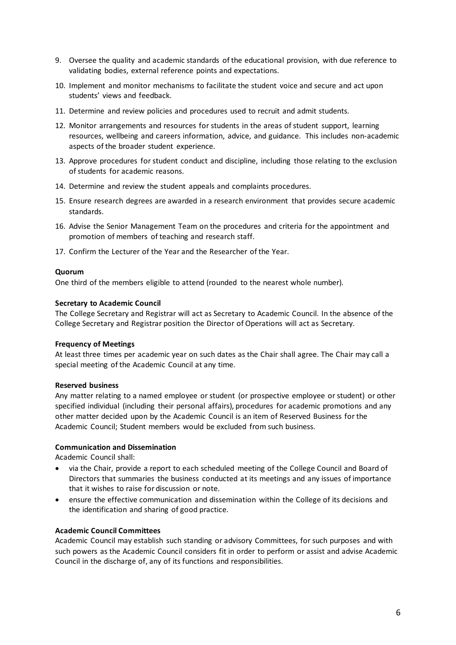- 9. Oversee the quality and academic standards of the educational provision, with due reference to validating bodies, external reference points and expectations.
- 10. Implement and monitor mechanisms to facilitate the student voice and secure and act upon students' views and feedback.
- 11. Determine and review policies and procedures used to recruit and admit students.
- 12. Monitor arrangements and resources for students in the areas of student support, learning resources, wellbeing and careers information, advice, and guidance. This includes non-academic aspects of the broader student experience.
- 13. Approve procedures for student conduct and discipline, including those relating to the exclusion of students for academic reasons.
- 14. Determine and review the student appeals and complaints procedures.
- 15. Ensure research degrees are awarded in a research environment that provides secure academic standards.
- 16. Advise the Senior Management Team on the procedures and criteria for the appointment and promotion of members of teaching and research staff.
- 17. Confirm the Lecturer of the Year and the Researcher of the Year.

#### **Quorum**

One third of the members eligible to attend (rounded to the nearest whole number).

#### **Secretary to Academic Council**

The College Secretary and Registrar will act as Secretary to Academic Council. In the absence of the College Secretary and Registrar position the Director of Operations will act as Secretary.

#### **Frequency of Meetings**

At least three times per academic year on such dates as the Chair shall agree. The Chair may call a special meeting of the Academic Council at any time.

#### **Reserved business**

Any matter relating to a named employee or student (or prospective employee or student) or other specified individual (including their personal affairs), procedures for academic promotions and any other matter decided upon by the Academic Council is an item of Reserved Business for the Academic Council; Student members would be excluded from such business.

#### **Communication and Dissemination**

Academic Council shall:

- via the Chair, provide a report to each scheduled meeting of the College Council and Board of Directors that summaries the business conducted at its meetings and any issues of importance that it wishes to raise for discussion or note.
- ensure the effective communication and dissemination within the College of its decisions and the identification and sharing of good practice.

#### **Academic Council Committees**

Academic Council may establish such standing or advisory Committees, for such purposes and with such powers as the Academic Council considers fit in order to perform or assist and advise Academic Council in the discharge of, any of its functions and responsibilities.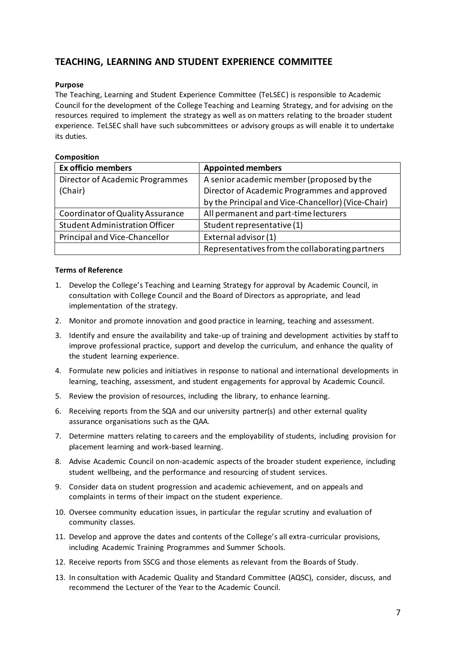## **TEACHING, LEARNING AND STUDENT EXPERIENCE COMMITTEE**

#### **Purpose**

The Teaching, Learning and Student Experience Committee (TeLSEC) is responsible to Academic Council for the development of the College Teaching and Learning Strategy, and for advising on the resources required to implement the strategy as well as on matters relating to the broader student experience. TeLSEC shall have such subcommittees or advisory groups as will enable it to undertake its duties.

#### **Composition**

| <b>Ex officio members</b>             | <b>Appointed members</b>                           |
|---------------------------------------|----------------------------------------------------|
| Director of Academic Programmes       | A senior academic member (proposed by the          |
| (Chair)                               | Director of Academic Programmes and approved       |
|                                       | by the Principal and Vice-Chancellor) (Vice-Chair) |
| Coordinator of Quality Assurance      | All permanent and part-time lecturers              |
| <b>Student Administration Officer</b> | Student representative (1)                         |
| Principal and Vice-Chancellor         | External advisor (1)                               |
|                                       | Representatives from the collaborating partners    |

#### **Terms of Reference**

- 1. Develop the College's Teaching and Learning Strategy for approval by Academic Council, in consultation with College Council and the Board of Directors as appropriate, and lead implementation of the strategy.
- 2. Monitor and promote innovation and good practice in learning, teaching and assessment.
- 3. Identify and ensure the availability and take-up of training and development activities by staff to improve professional practice, support and develop the curriculum, and enhance the quality of the student learning experience.
- 4. Formulate new policies and initiatives in response to national and international developments in learning, teaching, assessment, and student engagements for approval by Academic Council.
- 5. Review the provision of resources, including the library, to enhance learning.
- 6. Receiving reports from the SQA and our university partner(s) and other external quality assurance organisations such as the QAA.
- 7. Determine matters relating to careers and the employability of students, including provision for placement learning and work-based learning.
- 8. Advise Academic Council on non-academic aspects of the broader student experience, including student wellbeing, and the performance and resourcing of student services.
- 9. Consider data on student progression and academic achievement, and on appeals and complaints in terms of their impact on the student experience.
- 10. Oversee community education issues, in particular the regular scrutiny and evaluation of community classes.
- 11. Develop and approve the dates and contents of the College's all extra-curricular provisions, including Academic Training Programmes and Summer Schools.
- 12. Receive reports from SSCG and those elements as relevant from the Boards of Study.
- 13. In consultation with Academic Quality and Standard Committee (AQSC), consider, discuss, and recommend the Lecturer of the Year to the Academic Council.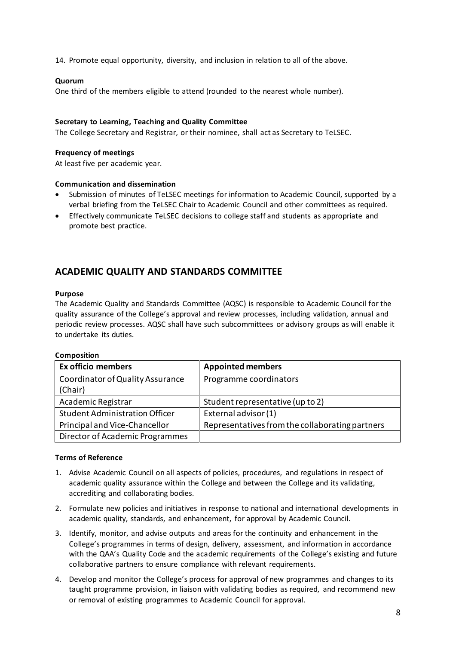14. Promote equal opportunity, diversity, and inclusion in relation to all of the above.

#### **Quorum**

One third of the members eligible to attend (rounded to the nearest whole number).

#### **Secretary to Learning, Teaching and Quality Committee**

The College Secretary and Registrar, or their nominee, shall act as Secretary to TeLSEC.

#### **Frequency of meetings**

At least five per academic year.

#### **Communication and dissemination**

- Submission of minutes of TeLSEC meetings for information to Academic Council, supported by a verbal briefing from the TeLSEC Chair to Academic Council and other committees as required.
- Effectively communicate TeLSEC decisions to college staff and students as appropriate and promote best practice.

## **ACADEMIC QUALITY AND STANDARDS COMMITTEE**

#### **Purpose**

The Academic Quality and Standards Committee (AQSC) is responsible to Academic Council for the quality assurance of the College's approval and review processes, including validation, annual and periodic review processes. AQSC shall have such subcommittees or advisory groups as will enable it to undertake its duties.

| ,,,,,,,,,,,,,,,,,                     |                                                 |
|---------------------------------------|-------------------------------------------------|
| <b>Ex officio members</b>             | <b>Appointed members</b>                        |
| Coordinator of Quality Assurance      | Programme coordinators                          |
| (Chair)                               |                                                 |
| Academic Registrar                    | Student representative (up to 2)                |
| <b>Student Administration Officer</b> | External advisor (1)                            |
| Principal and Vice-Chancellor         | Representatives from the collaborating partners |
| Director of Academic Programmes       |                                                 |
|                                       |                                                 |

#### **Composition**

#### **Terms of Reference**

- 1. Advise Academic Council on all aspects of policies, procedures, and regulations in respect of academic quality assurance within the College and between the College and its validating, accrediting and collaborating bodies.
- 2. Formulate new policies and initiatives in response to national and international developments in academic quality, standards, and enhancement, for approval by Academic Council.
- 3. Identify, monitor, and advise outputs and areas for the continuity and enhancement in the College's programmes in terms of design, delivery, assessment, and information in accordance with the QAA's Quality Code and the academic requirements of the College's existing and future collaborative partners to ensure compliance with relevant requirements.
- 4. Develop and monitor the College's process for approval of new programmes and changes to its taught programme provision, in liaison with validating bodies as required, and recommend new or removal of existing programmes to Academic Council for approval.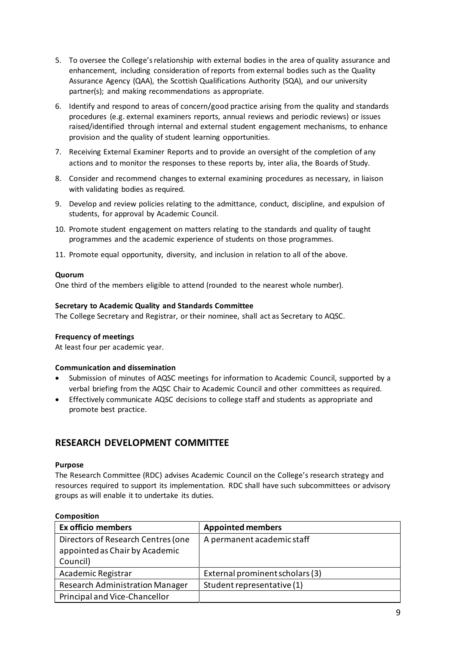- 5. To oversee the College's relationship with external bodies in the area of quality assurance and enhancement, including consideration of reports from external bodies such as the Quality Assurance Agency (QAA), the Scottish Qualifications Authority (SQA), and our university partner(s); and making recommendations as appropriate.
- 6. Identify and respond to areas of concern/good practice arising from the quality and standards procedures (e.g. external examiners reports, annual reviews and periodic reviews) or issues raised/identified through internal and external student engagement mechanisms, to enhance provision and the quality of student learning opportunities.
- 7. Receiving External Examiner Reports and to provide an oversight of the completion of any actions and to monitor the responses to these reports by, inter alia, the Boards of Study.
- 8. Consider and recommend changes to external examining procedures as necessary, in liaison with validating bodies as required.
- 9. Develop and review policies relating to the admittance, conduct, discipline, and expulsion of students, for approval by Academic Council.
- 10. Promote student engagement on matters relating to the standards and quality of taught programmes and the academic experience of students on those programmes.
- 11. Promote equal opportunity, diversity, and inclusion in relation to all of the above.

#### **Quorum**

One third of the members eligible to attend (rounded to the nearest whole number).

#### **Secretary to Academic Quality and Standards Committee**

The College Secretary and Registrar, or their nominee, shall act as Secretary to AQSC.

#### **Frequency of meetings**

At least four per academic year.

#### **Communication and dissemination**

- Submission of minutes of AQSC meetings for information to Academic Council, supported by a verbal briefing from the AQSC Chair to Academic Council and other committees as required.
- Effectively communicate AQSC decisions to college staff and students as appropriate and promote best practice.

## **RESEARCH DEVELOPMENT COMMITTEE**

#### **Purpose**

The Research Committee (RDC) advises Academic Council on the College's research strategy and resources required to support its implementation. RDC shall have such subcommittees or advisory groups as will enable it to undertake its duties.

| <b>COMPOSITION</b>                                                               |                                 |
|----------------------------------------------------------------------------------|---------------------------------|
| <b>Ex officio members</b>                                                        | <b>Appointed members</b>        |
| Directors of Research Centres (one<br>appointed as Chair by Academic<br>Council) | A permanent academic staff      |
| Academic Registrar                                                               | External prominent scholars (3) |
| <b>Research Administration Manager</b>                                           | Student representative (1)      |
| Principal and Vice-Chancellor                                                    |                                 |

#### **Composition**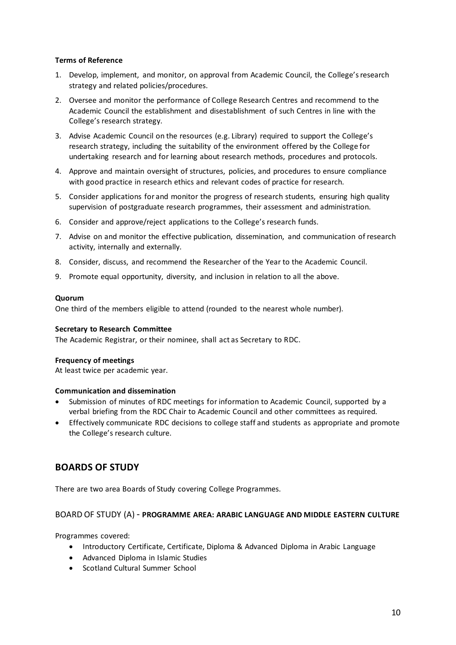#### **Terms of Reference**

- 1. Develop, implement, and monitor, on approval from Academic Council, the College's research strategy and related policies/procedures.
- 2. Oversee and monitor the performance of College Research Centres and recommend to the Academic Council the establishment and disestablishment of such Centres in line with the College's research strategy.
- 3. Advise Academic Council on the resources (e.g. Library) required to support the College's research strategy, including the suitability of the environment offered by the College for undertaking research and for learning about research methods, procedures and protocols.
- 4. Approve and maintain oversight of structures, policies, and procedures to ensure compliance with good practice in research ethics and relevant codes of practice for research.
- 5. Consider applications for and monitor the progress of research students, ensuring high quality supervision of postgraduate research programmes, their assessment and administration.
- 6. Consider and approve/reject applications to the College's research funds.
- 7. Advise on and monitor the effective publication, dissemination, and communication of research activity, internally and externally.
- 8. Consider, discuss, and recommend the Researcher of the Year to the Academic Council.
- 9. Promote equal opportunity, diversity, and inclusion in relation to all the above.

#### **Quorum**

One third of the members eligible to attend (rounded to the nearest whole number).

#### **Secretary to Research Committee**

The Academic Registrar, or their nominee, shall act as Secretary to RDC.

#### **Frequency of meetings**

At least twice per academic year.

#### **Communication and dissemination**

- Submission of minutes of RDC meetings for information to Academic Council, supported by a verbal briefing from the RDC Chair to Academic Council and other committees as required.
- Effectively communicate RDC decisions to college staff and students as appropriate and promote the College's research culture.

### **BOARDS OF STUDY**

There are two area Boards of Study covering College Programmes.

#### BOARD OF STUDY (A) - **PROGRAMME AREA: ARABIC LANGUAGE AND MIDDLE EASTERN CULTURE**

Programmes covered:

- Introductory Certificate, Certificate, Diploma & Advanced Diploma in Arabic Language
- Advanced Diploma in Islamic Studies
- Scotland Cultural Summer School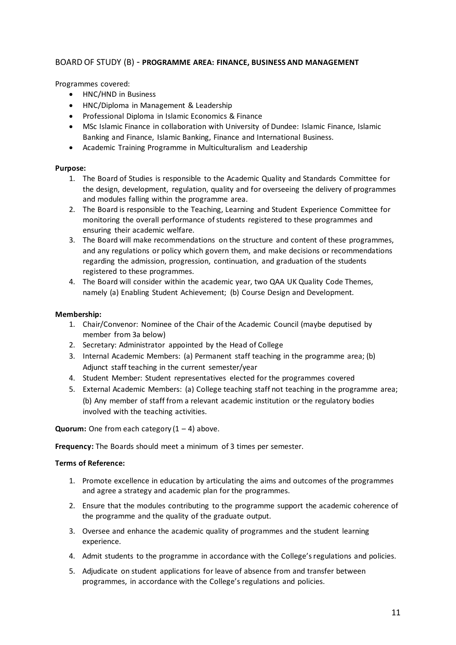#### BOARD OF STUDY (B) - **PROGRAMME AREA: FINANCE, BUSINESS AND MANAGEMENT**

Programmes covered:

- HNC/HND in Business
- HNC/Diploma in Management & Leadership
- Professional Diploma in Islamic Economics & Finance
- MSc Islamic Finance in collaboration with University of Dundee: Islamic Finance, Islamic Banking and Finance, Islamic Banking, Finance and International Business.
- Academic Training Programme in Multiculturalism and Leadership

#### **Purpose:**

- 1. The Board of Studies is responsible to the Academic Quality and Standards Committee for the design, development, regulation, quality and for overseeing the delivery of programmes and modules falling within the programme area.
- 2. The Board is responsible to the Teaching, Learning and Student Experience Committee for monitoring the overall performance of students registered to these programmes and ensuring their academic welfare.
- 3. The Board will make recommendations on the structure and content of these programmes, and any regulations or policy which govern them, and make decisions or recommendations regarding the admission, progression, continuation, and graduation of the students registered to these programmes.
- 4. The Board will consider within the academic year, two QAA UK Quality Code Themes, namely (a) Enabling Student Achievement; (b) Course Design and Development.

#### **Membership:**

- 1. Chair/Convenor: Nominee of the Chair of the Academic Council (maybe deputised by member from 3a below)
- 2. Secretary: Administrator appointed by the Head of College
- 3. Internal Academic Members: (a) Permanent staff teaching in the programme area; (b) Adjunct staff teaching in the current semester/year
- 4. Student Member: Student representatives elected for the programmes covered
- 5. External Academic Members: (a) College teaching staff not teaching in the programme area; (b) Any member of staff from a relevant academic institution or the regulatory bodies involved with the teaching activities.

**Quorum:** One from each category  $(1 - 4)$  above.

**Frequency:** The Boards should meet a minimum of 3 times per semester.

#### **Terms of Reference:**

- 1. Promote excellence in education by articulating the aims and outcomes of the programmes and agree a strategy and academic plan for the programmes.
- 2. Ensure that the modules contributing to the programme support the academic coherence of the programme and the quality of the graduate output.
- 3. Oversee and enhance the academic quality of programmes and the student learning experience.
- 4. Admit students to the programme in accordance with the College's regulations and policies.
- 5. Adjudicate on student applications for leave of absence from and transfer between programmes, in accordance with the College's regulations and policies.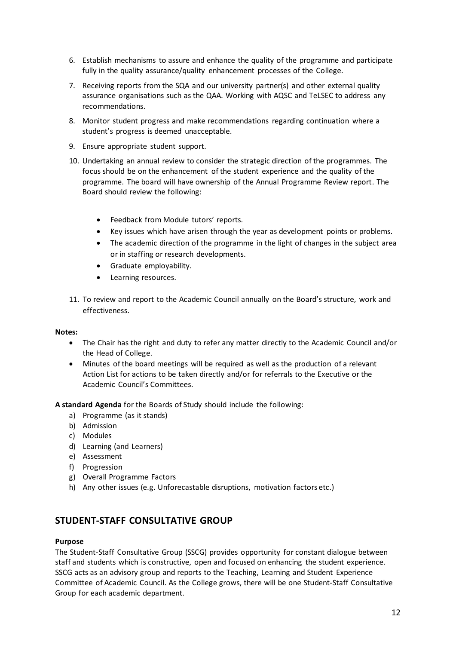- 6. Establish mechanisms to assure and enhance the quality of the programme and participate fully in the quality assurance/quality enhancement processes of the College.
- 7. Receiving reports from the SQA and our university partner(s) and other external quality assurance organisations such as the QAA. Working with AQSC and TeLSEC to address any recommendations.
- 8. Monitor student progress and make recommendations regarding continuation where a student's progress is deemed unacceptable.
- 9. Ensure appropriate student support.
- 10. Undertaking an annual review to consider the strategic direction of the programmes. The focus should be on the enhancement of the student experience and the quality of the programme. The board will have ownership of the Annual Programme Review report. The Board should review the following:
	- Feedback from Module tutors' reports.
	- Key issues which have arisen through the year as development points or problems.
	- The academic direction of the programme in the light of changes in the subject area or in staffing or research developments.
	- Graduate employability.
	- Learning resources.
- 11. To review and report to the Academic Council annually on the Board's structure, work and effectiveness.

#### **Notes:**

- The Chair has the right and duty to refer any matter directly to the Academic Council and/or the Head of College.
- Minutes of the board meetings will be required as well as the production of a relevant Action List for actions to be taken directly and/or for referrals to the Executive or the Academic Council's Committees.

**A standard Agenda** for the Boards of Study should include the following:

- a) Programme (as it stands)
- b) Admission
- c) Modules
- d) Learning (and Learners)
- e) Assessment
- f) Progression
- g) Overall Programme Factors
- h) Any other issues (e.g. Unforecastable disruptions, motivation factors etc.)

### **STUDENT-STAFF CONSULTATIVE GROUP**

#### **Purpose**

The Student-Staff Consultative Group (SSCG) provides opportunity for constant dialogue between staff and students which is constructive, open and focused on enhancing the student experience. SSCG acts as an advisory group and reports to the Teaching, Learning and Student Experience Committee of Academic Council. As the College grows, there will be one Student-Staff Consultative Group for each academic department.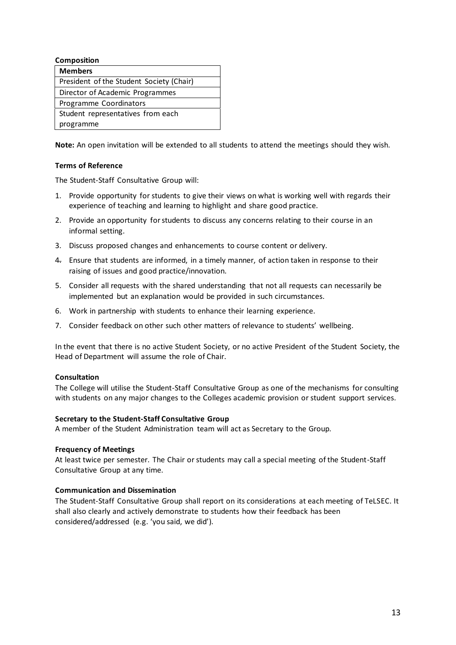| <b>Composition</b>                       |  |  |
|------------------------------------------|--|--|
| <b>Members</b>                           |  |  |
| President of the Student Society (Chair) |  |  |
| Director of Academic Programmes          |  |  |
| Programme Coordinators                   |  |  |
| Student representatives from each        |  |  |
| programme                                |  |  |

**Note:** An open invitation will be extended to all students to attend the meetings should they wish.

#### **Terms of Reference**

The Student-Staff Consultative Group will:

- 1. Provide opportunity for students to give their views on what is working well with regards their experience of teaching and learning to highlight and share good practice.
- 2. Provide an opportunity for students to discuss any concerns relating to their course in an informal setting.
- 3. Discuss proposed changes and enhancements to course content or delivery.
- 4. Ensure that students are informed, in a timely manner, of action taken in response to their raising of issues and good practice/innovation.
- 5. Consider all requests with the shared understanding that not all requests can necessarily be implemented but an explanation would be provided in such circumstances.
- 6. Work in partnership with students to enhance their learning experience.
- 7. Consider feedback on other such other matters of relevance to students' wellbeing.

In the event that there is no active Student Society, or no active President of the Student Society, the Head of Department will assume the role of Chair.

#### **Consultation**

The College will utilise the Student-Staff Consultative Group as one of the mechanisms for consulting with students on any major changes to the Colleges academic provision or student support services.

#### **Secretary to the Student-Staff Consultative Group**

A member of the Student Administration team will act as Secretary to the Group.

#### **Frequency of Meetings**

At least twice per semester. The Chair or students may call a special meeting of the Student-Staff Consultative Group at any time.

#### **Communication and Dissemination**

The Student-Staff Consultative Group shall report on its considerations at each meeting of TeLSEC. It shall also clearly and actively demonstrate to students how their feedback has been considered/addressed (e.g. 'you said, we did').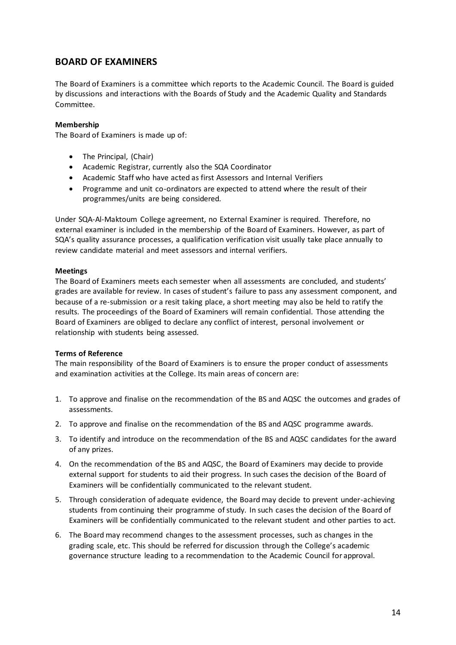## **BOARD OF EXAMINERS**

The Board of Examiners is a committee which reports to the Academic Council. The Board is guided by discussions and interactions with the Boards of Study and the Academic Quality and Standards Committee.

#### **Membership**

The Board of Examiners is made up of:

- The Principal, (Chair)
- Academic Registrar, currently also the SQA Coordinator
- Academic Staff who have acted as first Assessors and Internal Verifiers
- Programme and unit co-ordinators are expected to attend where the result of their programmes/units are being considered.

Under SQA-Al-Maktoum College agreement, no External Examiner is required. Therefore, no external examiner is included in the membership of the Board of Examiners. However, as part of SQA's quality assurance processes, a qualification verification visit usually take place annually to review candidate material and meet assessors and internal verifiers.

#### **Meetings**

The Board of Examiners meets each semester when all assessments are concluded, and students' grades are available for review. In cases of student's failure to pass any assessment component, and because of a re-submission or a resit taking place, a short meeting may also be held to ratify the results. The proceedings of the Board of Examiners will remain confidential. Those attending the Board of Examiners are obliged to declare any conflict of interest, personal involvement or relationship with students being assessed.

#### **Terms of Reference**

The main responsibility of the Board of Examiners is to ensure the proper conduct of assessments and examination activities at the College. Its main areas of concern are:

- 1. To approve and finalise on the recommendation of the BS and AQSC the outcomes and grades of assessments.
- 2. To approve and finalise on the recommendation of the BS and AQSC programme awards.
- 3. To identify and introduce on the recommendation of the BS and AQSC candidates for the award of any prizes.
- 4. On the recommendation of the BS and AQSC, the Board of Examiners may decide to provide external support for students to aid their progress. In such cases the decision of the Board of Examiners will be confidentially communicated to the relevant student.
- 5. Through consideration of adequate evidence, the Board may decide to prevent under-achieving students from continuing their programme of study. In such cases the decision of the Board of Examiners will be confidentially communicated to the relevant student and other parties to act.
- 6. The Board may recommend changes to the assessment processes, such as changes in the grading scale, etc. This should be referred for discussion through the College's academic governance structure leading to a recommendation to the Academic Council for approval.